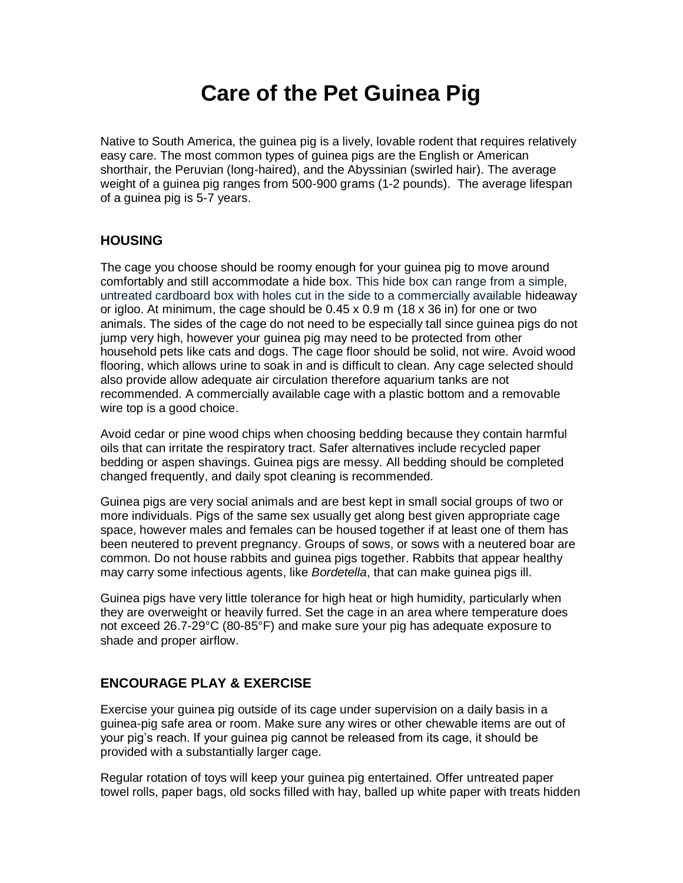# **Care of the Pet Guinea Pig**

Native to South America, the guinea pig is a lively, lovable rodent that requires relatively easy care. The most common types of guinea pigs are the English or American shorthair, the Peruvian (long-haired), and the Abyssinian (swirled hair). The average weight of a guinea pig ranges from 500-900 grams (1-2 pounds). The average lifespan of a guinea pig is 5-7 years.

### **HOUSING**

The cage you choose should be roomy enough for your guinea pig to move around comfortably and still accommodate a hide box. This hide box can range from a simple, untreated cardboard box with holes cut in the side to a commercially available hideaway or igloo. At minimum, the cage should be  $0.45 \times 0.9$  m (18  $\times$  36 in) for one or two animals. The sides of the cage do not need to be especially tall since guinea pigs do not jump very high, however your guinea pig may need to be protected from other household pets like cats and dogs. The cage floor should be solid, not wire. Avoid wood flooring, which allows urine to soak in and is difficult to clean. Any cage selected should also provide allow adequate air circulation therefore aquarium tanks are not recommended. A commercially available cage with a plastic bottom and a removable wire top is a good choice.

Avoid cedar or pine wood chips when choosing bedding because they contain harmful oils that can irritate the respiratory tract. Safer alternatives include recycled paper bedding or aspen shavings. Guinea pigs are messy. All bedding should be completed changed frequently, and daily spot cleaning is recommended.

Guinea pigs are very social animals and are best kept in small social groups of two or more individuals. Pigs of the same sex usually get along best given appropriate cage space, however males and females can be housed together if at least one of them has been neutered to prevent pregnancy. Groups of sows, or sows with a neutered boar are common. Do not house rabbits and guinea pigs together. Rabbits that appear healthy may carry some infectious agents, like *Bordetella*, that can make guinea pigs ill.

Guinea pigs have very little tolerance for high heat or high humidity, particularly when they are overweight or heavily furred. Set the cage in an area where temperature does not exceed 26.7-29°C (80-85°F) and make sure your pig has adequate exposure to shade and proper airflow.

## **ENCOURAGE PLAY & EXERCISE**

Exercise your guinea pig outside of its cage under supervision on a daily basis in a guinea-pig safe area or room. Make sure any wires or other chewable items are out of your pig's reach. If your guinea pig cannot be released from its cage, it should be provided with a substantially larger cage.

Regular rotation of toys will keep your guinea pig entertained. Offer untreated paper towel rolls, paper bags, old socks filled with hay, balled up white paper with treats hidden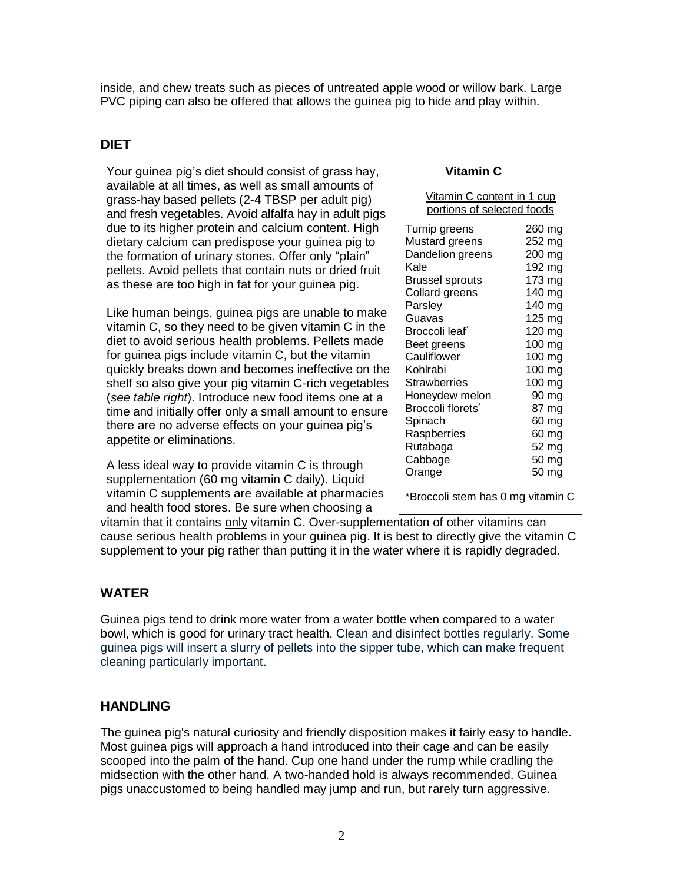inside, and chew treats such as pieces of untreated apple wood or willow bark. Large PVC piping can also be offered that allows the guinea pig to hide and play within.

# **DIET**

Your guinea pig's diet should consist of grass hay, available at all times, as well as small amounts of grass-hay based pellets (2-4 TBSP per adult pig) and fresh vegetables. Avoid alfalfa hay in adult pigs due to its higher protein and calcium content. High dietary calcium can predispose your guinea pig to the formation of urinary stones. Offer only "plain" pellets. Avoid pellets that contain nuts or dried fruit as these are too high in fat for your guinea pig.

Like human beings, guinea pigs are unable to make vitamin C, so they need to be given vitamin C in the diet to avoid serious health problems. Pellets made for guinea pigs include vitamin C, but the vitamin quickly breaks down and becomes ineffective on the shelf so also give your pig vitamin C-rich vegetables (*see table right*). Introduce new food items one at a time and initially offer only a small amount to ensure there are no adverse effects on your guinea pig's appetite or eliminations.

A less ideal way to provide vitamin C is through supplementation (60 mg vitamin C daily). Liquid vitamin C supplements are available at pharmacies and health food stores. Be sure when choosing a

#### **Vitamin C**

Vitamin C content in 1 cup portions of selected foods Turnip greens 260 mg

| rump groons                   | ∠ບບ ⊓⊓ບ |
|-------------------------------|---------|
| Mustard greens                | 252 mg  |
| Dandelion greens              | 200 mg  |
| Kale                          | 192 mg  |
| Brussel sprouts               | 173 mg  |
| Collard greens                | 140 mg  |
| Parsley                       | 140 mg  |
| Guavas                        | 125 mg  |
| Broccoli leaf <sup>*</sup>    | 120 mg  |
| Beet greens                   | 100 mg  |
| Cauliflower                   | 100 mg  |
| Kohlrabi                      | 100 mg  |
| Strawberries                  | 100 mg  |
| Honeydew melon                | 90 mg   |
| Broccoli florets <sup>®</sup> | 87 mg   |
| Spinach                       | 60 mg   |
| Raspberries                   | 60 mg   |
| Rutabaga                      | 52 mg   |
| Cabbage                       | 50 mg   |
| Orange                        | 50 mg   |
| $\sim$                        |         |

\*Broccoli stem has 0 mg vitamin C

vitamin that it contains only vitamin C. Over-supplementation of other vitamins can cause serious health problems in your guinea pig. It is best to directly give the vitamin C supplement to your pig rather than putting it in the water where it is rapidly degraded.

# **WATER**

Guinea pigs tend to drink more water from a water bottle when compared to a water bowl, which is good for urinary tract health. Clean and disinfect bottles regularly. Some guinea pigs will insert a slurry of pellets into the sipper tube, which can make frequent cleaning particularly important.

## **HANDLING**

The guinea pig's natural curiosity and friendly disposition makes it fairly easy to handle. Most guinea pigs will approach a hand introduced into their cage and can be easily scooped into the palm of the hand. Cup one hand under the rump while cradling the midsection with the other hand. A two-handed hold is always recommended. Guinea pigs unaccustomed to being handled may jump and run, but rarely turn aggressive.